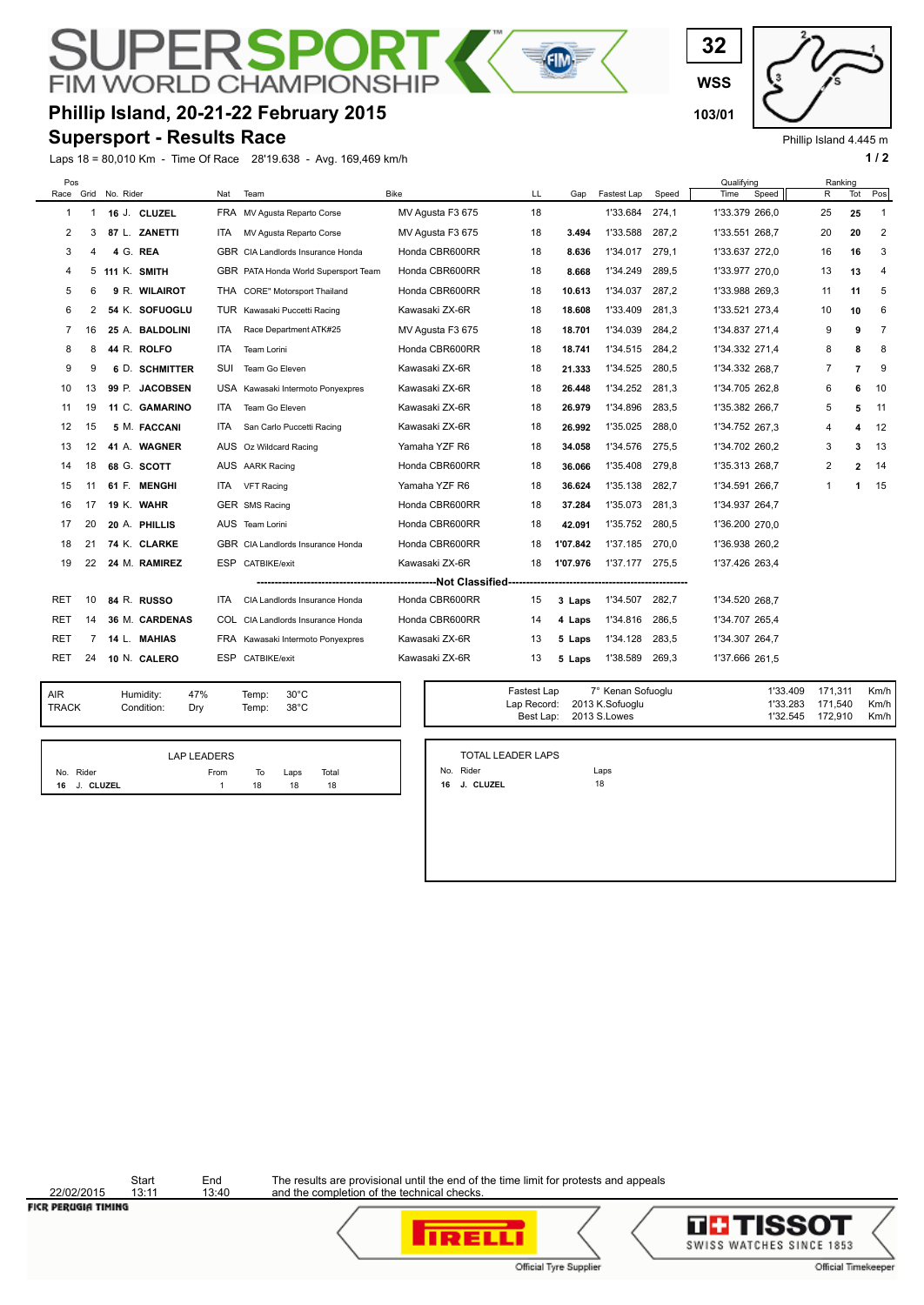**JPERSPO FIM WORLD CHAMPION** 

## **Phillip Island, 20-21-22 February 2015 103/01**

## **Supersport - Results Race**

Laps 18 = 80,010 Km - Time Of Race 28'19.638 - Avg. 169,469 km/h **1 and 2 1 and 2 1 a 1 a 1 a 1 a 1 a 1 a 1 a 1 a 1 a 1 a 1 a 1 a 1 a 1 a 1 a 1 a 1 a 1 a 1 a 1 a 1 a 1 a 1 a** 

**WSS 32**

Phillip Island 4.445 m

| Pos       |    |                |                       |            |                                      |                  |    |          |                |       | Qualifying     |       | Ranking        |                |                |
|-----------|----|----------------|-----------------------|------------|--------------------------------------|------------------|----|----------|----------------|-------|----------------|-------|----------------|----------------|----------------|
| Race Grid |    | No. Rider      |                       | Nat        | Team                                 | <b>Bike</b>      | LL | Gap      | Fastest Lap    | Speed | Time           | Speed | R              | Tot            | Pos            |
| 1         | -1 |                | 16 J. CLUZEL          |            | FRA MV Agusta Reparto Corse          | MV Agusta F3 675 | 18 |          | 1'33.684       | 274,1 | 1'33.379 266,0 |       | 25             | 25             | $\overline{1}$ |
| 2         | 3  |                | 87 L. ZANETTI         | ITA.       | MV Agusta Reparto Corse              | MV Agusta F3 675 | 18 | 3.494    | 1'33.588       | 287,2 | 1'33.551 268.7 |       | 20             | 20             | $\overline{2}$ |
| 3         | 4  | 4 G. REA       |                       |            | GBR CIA Landlords Insurance Honda    | Honda CBR600RR   | 18 | 8.636    | 1'34.017       | 279.1 | 1'33.637 272.0 |       | 16             | 16             | 3              |
| 4         |    | 5 111 K. SMITH |                       |            | GBR PATA Honda World Supersport Team | Honda CBR600RR   | 18 | 8.668    | 1'34.249       | 289,5 | 1'33.977 270.0 |       | 13             | 13             | 4              |
| 5         | 6  |                | 9 R. WILAIROT         |            | THA CORE" Motorsport Thailand        | Honda CBR600RR   | 18 | 10.613   | 1'34.037       | 287.2 | 1'33.988 269.3 |       | 11             | 11             | 5              |
| 6         | 2  |                | 54 K. SOFUOGLU        |            | TUR Kawasaki Puccetti Racing         | Kawasaki ZX-6R   | 18 | 18.608   | 1'33.409       | 281,3 | 1'33.521 273.4 |       | 10             | 10             | 6              |
| 7         | 16 |                | 25 A. BALDOLINI       | ITA.       | Race Department ATK#25               | MV Agusta F3 675 | 18 | 18.701   | 1'34.039       | 284,2 | 1'34.837 271,4 |       | 9              | 9              | 7              |
| 8         | 8  |                | 44 R. ROLFO           | ITA.       | Team Lorini                          | Honda CBR600RR   | 18 | 18.741   | 1'34.515       | 284,2 | 1'34.332 271.4 |       | 8              | 8              | 8              |
| 9         | 9  |                | 6 D. SCHMITTER        | <b>SUI</b> | Team Go Eleven                       | Kawasaki ZX-6R   | 18 | 21.333   | 1'34.525       | 280.5 | 1'34.332 268,7 |       | $\overline{7}$ | $\overline{7}$ | 9              |
| 10        | 13 |                | 99 P. JACOBSEN        |            | USA Kawasaki Intermoto Ponyexpres    | Kawasaki ZX-6R   | 18 | 26.448   | 1'34.252       | 281,3 | 1'34.705 262.8 |       | 6              | 6              | 10             |
| 11        | 19 |                | 11 C. GAMARINO        | ITA.       | Team Go Eleven                       | Kawasaki ZX-6R   | 18 | 26.979   | 1'34.896       | 283,5 | 1'35.382 266,7 |       | 5              | 5              | 11             |
| 12        | 15 |                | 5 M. FACCANI          | ITA.       | San Carlo Puccetti Racing            | Kawasaki ZX-6R   | 18 | 26.992   | 1'35.025       | 288,0 | 1'34.752 267,3 |       | 4              | Δ              | 12             |
| 13        | 12 |                | 41 A. WAGNER          |            | AUS Oz Wildcard Racing               | Yamaha YZF R6    | 18 | 34.058   | 1'34.576       | 275.5 | 1'34.702 260,2 |       | 3              | 3              | 13             |
| 14        | 18 |                | 68 G. SCOTT           |            | AUS AARK Racing                      | Honda CBR600RR   | 18 | 36.066   | 1'35.408       | 279,8 | 1'35.313 268,7 |       | 2              | $\overline{2}$ | 14             |
| 15        | 11 |                | 61 F. MENGHI          | ITA.       | <b>VFT Racing</b>                    | Yamaha YZF R6    | 18 | 36.624   | 1'35.138       | 282,7 | 1'34.591 266,7 |       | 1              |                | 15             |
| 16        | 17 |                | 19 K. WAHR            |            | GER SMS Racing                       | Honda CBR600RR   | 18 | 37.284   | 1'35.073       | 281,3 | 1'34.937 264,7 |       |                |                |                |
| 17        | 20 |                | 20 A. PHILLIS         |            | AUS Team Lorini                      | Honda CBR600RR   | 18 | 42.091   | 1'35.752       | 280,5 | 1'36.200 270.0 |       |                |                |                |
| 18        | 21 |                | 74 K. CLARKE          |            | GBR CIA Landlords Insurance Honda    | Honda CBR600RR   | 18 | 1'07.842 | 1'37.185       | 270,0 | 1'36.938 260,2 |       |                |                |                |
| 19        | 22 |                | 24 M. RAMIREZ         |            | ESP CATBIKE/exit                     | Kawasaki ZX-6R   | 18 | 1'07.976 | 1'37.177 275,5 |       | 1'37.426 263.4 |       |                |                |                |
|           |    |                |                       |            |                                      |                  |    |          |                |       |                |       |                |                |                |
| RET       | 10 |                | 84 R. RUSSO           | ITA.       | CIA Landlords Insurance Honda        | Honda CBR600RR   | 15 | 3 Laps   | 1'34.507       | 282,7 | 1'34.520 268.7 |       |                |                |                |
| RET       | 14 |                | <b>36 M. CARDENAS</b> |            | COL CIA Landlords Insurance Honda    | Honda CBR600RR   | 14 | 4 Laps   | 1'34.816       | 286.5 | 1'34.707 265,4 |       |                |                |                |
| RET       | 7  |                | 14 L. MAHIAS          |            | FRA Kawasaki Intermoto Ponyexpres    | Kawasaki ZX-6R   | 13 | 5 Laps   | 1'34.128       | 283,5 | 1'34.307 264,7 |       |                |                |                |
| RET       | 24 |                | 10 N. CALERO          |            | ESP CATBIKE/exit                     | Kawasaki ZX-6R   | 13 | 5 Laps   | 1'38.589       | 269,3 | 1'37.666 261,5 |       |                |                |                |
|           |    |                |                       |            |                                      |                  |    |          |                |       |                |       |                |                |                |

 $\overline{\mathbf{H}}$ 

TRACK Condition: Dry AIR Humidity: 47% 30°C Temp:

| <b>LAP LEADERS</b> |  |
|--------------------|--|

|              | <b>LAP LEADERS</b> |    |      |       |
|--------------|--------------------|----|------|-------|
| No. Rider    | From               | To | Laps | Total |
| 16 J. CLUZEL |                    | 18 | 18   | 18    |

38°C

Temp: 2013 K.Sofuoglu 1'33.283 Lap Record: 171,540 2013 S.Lowes 1'32.545 172,910 Best Lap: Km/h Km/h Fastest Lap 7° Kenan Sofuoglu 1'33.409 171,311 Km/h

> TOTAL LEADER LAPS No. Rider Laps  **16 J. CLUZEL** 18

22/02/2015

Start End<br>13:11 13:40

The results are provisional until the end of the time limit for protests and appeals and the completion of the technical checks.